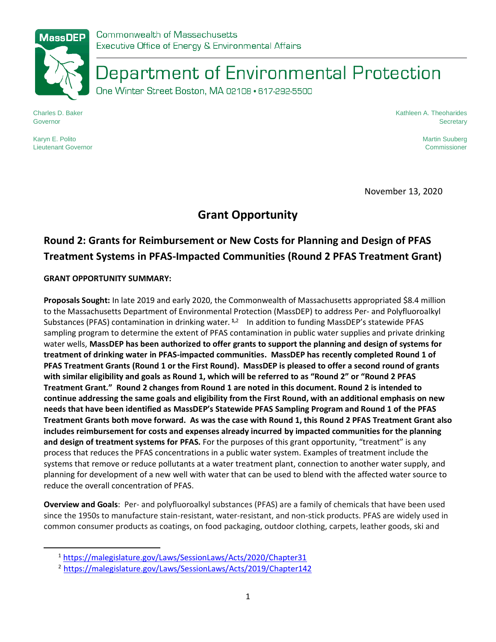

Department of Environmental Protection

One Winter Street Boston, MA 02108 · 617-292-5500

Charles D. Baker Governor

Kathleen A. Theoharides **Secretary** 

Karyn E. Polito Lieutenant Governor Martin Suuberg Commissioner

November 13, 2020

## **Grant Opportunity**

# **Round 2: Grants for Reimbursement or New Costs for Planning and Design of PFAS Treatment Systems in PFAS-Impacted Communities (Round 2 PFAS Treatment Grant)**

## **GRANT OPPORTUNITY SUMMARY:**

**Proposals Sought:** In late 2019 and early 2020, the Commonwealth of Massachusetts appropriated \$8.4 million to the Massachusetts Department of Environmental Protection (MassDEP) to address Per- and Polyfluoroalkyl Substances (PFAS) contamination in drinking water. **1,**<sup>2</sup> In addition to funding MassDEP's statewide PFAS sampling program to determine the extent of PFAS contamination in public water supplies and private drinking water wells, **MassDEP has been authorized to offer grants to support the planning and design of systems for treatment of drinking water in PFAS-impacted communities. MassDEP has recently completed Round 1 of PFAS Treatment Grants (Round 1 or the First Round). MassDEP is pleased to offer a second round of grants with similar eligibility and goals as Round 1, which will be referred to as "Round 2" or "Round 2 PFAS Treatment Grant." Round 2 changes from Round 1 are noted in this document. Round 2 is intended to continue addressing the same goals and eligibility from the First Round, with an additional emphasis on new needs that have been identified as MassDEP's Statewide PFAS Sampling Program and Round 1 of the PFAS Treatment Grants both move forward. As was the case with Round 1, this Round 2 PFAS Treatment Grant also includes reimbursement for costs and expenses already incurred by impacted communities for the planning and design of treatment systems for PFAS.** For the purposes of this grant opportunity, "treatment" is any process that reduces the PFAS concentrations in a public water system. Examples of treatment include the systems that remove or reduce pollutants at a water treatment plant, connection to another water supply, and planning for development of a new well with water that can be used to blend with the affected water source to reduce the overall concentration of PFAS.

**Overview and Goals**: Per- and polyfluoroalkyl substances (PFAS) are a family of chemicals that have been used since the 1950s to manufacture stain-resistant, water-resistant, and non-stick products. PFAS are widely used in common consumer products as coatings, on food packaging, outdoor clothing, carpets, leather goods, ski and

<sup>1</sup> <https://malegislature.gov/Laws/SessionLaws/Acts/2020/Chapter31>

<sup>2</sup> <https://malegislature.gov/Laws/SessionLaws/Acts/2019/Chapter142>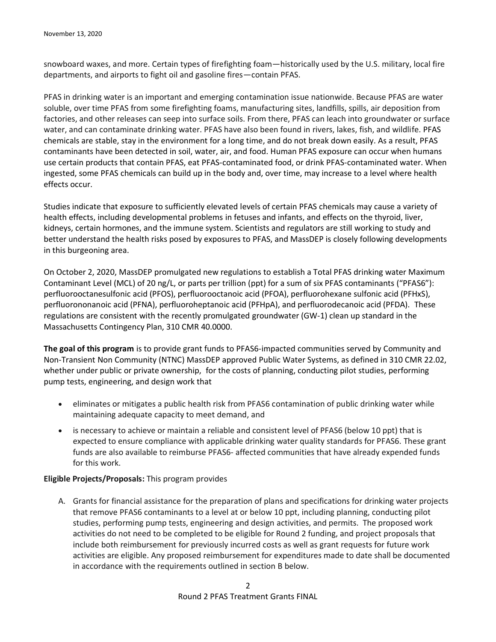snowboard waxes, and more. Certain types of firefighting foam—historically used by the U.S. military, local fire departments, and airports to fight oil and gasoline fires—contain PFAS.

PFAS in drinking water is an important and emerging contamination issue nationwide. Because PFAS are water soluble, over time PFAS from some firefighting foams, manufacturing sites, landfills, spills, air deposition from factories, and other releases can seep into surface soils. From there, PFAS can leach into groundwater or surface water, and can contaminate drinking water. PFAS have also been found in rivers, lakes, fish, and wildlife. PFAS chemicals are stable, stay in the environment for a long time, and do not break down easily. As a result, PFAS contaminants have been detected in soil, water, air, and food. Human PFAS exposure can occur when humans use certain products that contain PFAS, eat PFAS-contaminated food, or drink PFAS-contaminated water. When ingested, some PFAS chemicals can build up in the body and, over time, may increase to a level where health effects occur.

Studies indicate that exposure to sufficiently elevated levels of certain PFAS chemicals may cause a variety of health effects, including developmental problems in fetuses and infants, and effects on the thyroid, liver, kidneys, certain hormones, and the immune system. Scientists and regulators are still working to study and better understand the health risks posed by exposures to PFAS, and MassDEP is closely following developments in this burgeoning area.

On October 2, 2020, MassDEP promulgated new regulations to establish a Total PFAS drinking water Maximum Contaminant Level (MCL) of 20 ng/L, or parts per trillion (ppt) for a sum of six PFAS contaminants ("PFAS6"): perfluorooctanesulfonic acid (PFOS), perfluorooctanoic acid (PFOA), perfluorohexane sulfonic acid (PFHxS), perfluorononanoic acid (PFNA), perfluoroheptanoic acid (PFHpA), and perfluorodecanoic acid (PFDA). These regulations are consistent with the recently promulgated groundwater (GW-1) clean up standard in the Massachusetts Contingency Plan, 310 CMR 40.0000.

**The goal of this program** is to provide grant funds to PFAS6-impacted communities served by Community and Non-Transient Non Community (NTNC) MassDEP approved Public Water Systems, as defined in 310 CMR 22.02, whether under public or private ownership, for the costs of planning, conducting pilot studies, performing pump tests, engineering, and design work that

- eliminates or mitigates a public health risk from PFAS6 contamination of public drinking water while maintaining adequate capacity to meet demand, and
- is necessary to achieve or maintain a reliable and consistent level of PFAS6 (below 10 ppt) that is expected to ensure compliance with applicable drinking water quality standards for PFAS6. These grant funds are also available to reimburse PFAS6- affected communities that have already expended funds for this work.

## **Eligible Projects/Proposals:** This program provides

A. Grants for financial assistance for the preparation of plans and specifications for drinking water projects that remove PFAS6 contaminants to a level at or below 10 ppt, including planning, conducting pilot studies, performing pump tests, engineering and design activities, and permits. The proposed work activities do not need to be completed to be eligible for Round 2 funding, and project proposals that include both reimbursement for previously incurred costs as well as grant requests for future work activities are eligible. Any proposed reimbursement for expenditures made to date shall be documented in accordance with the requirements outlined in section B below.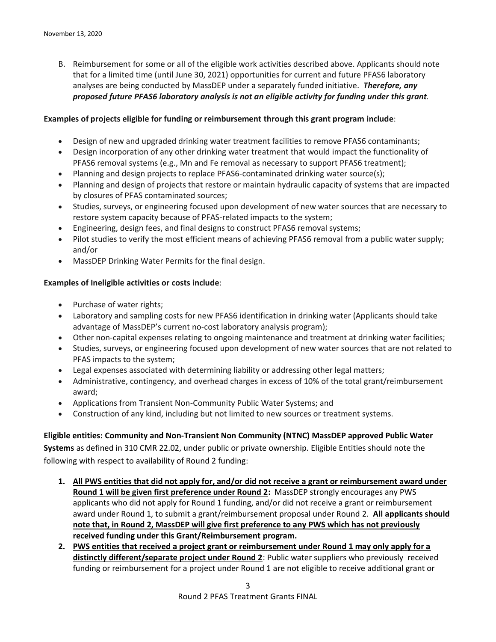B. Reimbursement for some or all of the eligible work activities described above. Applicants should note that for a limited time (until June 30, 2021) opportunities for current and future PFAS6 laboratory analyses are being conducted by MassDEP under a separately funded initiative. *Therefore, any proposed future PFAS6 laboratory analysis is not an eligible activity for funding under this grant.* 

### **Examples of projects eligible for funding or reimbursement through this grant program include**:

- Design of new and upgraded drinking water treatment facilities to remove PFAS6 contaminants;
- Design incorporation of any other drinking water treatment that would impact the functionality of PFAS6 removal systems (e.g., Mn and Fe removal as necessary to support PFAS6 treatment);
- Planning and design projects to replace PFAS6-contaminated drinking water source(s);
- Planning and design of projects that restore or maintain hydraulic capacity of systems that are impacted by closures of PFAS contaminated sources;
- Studies, surveys, or engineering focused upon development of new water sources that are necessary to restore system capacity because of PFAS-related impacts to the system;
- Engineering, design fees, and final designs to construct PFAS6 removal systems;
- Pilot studies to verify the most efficient means of achieving PFAS6 removal from a public water supply; and/or
- MassDEP Drinking Water Permits for the final design.

### **Examples of Ineligible activities or costs include**:

- Purchase of water rights;
- Laboratory and sampling costs for new PFAS6 identification in drinking water (Applicants should take advantage of MassDEP's current no-cost laboratory analysis program);
- Other non-capital expenses relating to ongoing maintenance and treatment at drinking water facilities;
- Studies, surveys, or engineering focused upon development of new water sources that are not related to PFAS impacts to the system;
- Legal expenses associated with determining liability or addressing other legal matters;
- Administrative, contingency, and overhead charges in excess of 10% of the total grant/reimbursement award;
- Applications from Transient Non-Community Public Water Systems; and
- Construction of any kind, including but not limited to new sources or treatment systems.

## **Eligible entities: Community and Non-Transient Non Community (NTNC) MassDEP approved Public Water**

**Systems** as defined in 310 CMR 22.02, under public or private ownership. Eligible Entities should note the following with respect to availability of Round 2 funding:

- **1. All PWS entities that did not apply for, and/or did not receive a grant or reimbursement award under Round 1 will be given first preference under Round 2:** MassDEP strongly encourages any PWS applicants who did not apply for Round 1 funding, and/or did not receive a grant or reimbursement award under Round 1, to submit a grant/reimbursement proposal under Round 2. **All applicants should note that, in Round 2, MassDEP will give first preference to any PWS which has not previously received funding under this Grant/Reimbursement program.**
- **2. PWS entities that received a project grant or reimbursement under Round 1 may only apply for a distinctly different/separate project under Round 2**: Public water suppliers who previously received funding or reimbursement for a project under Round 1 are not eligible to receive additional grant or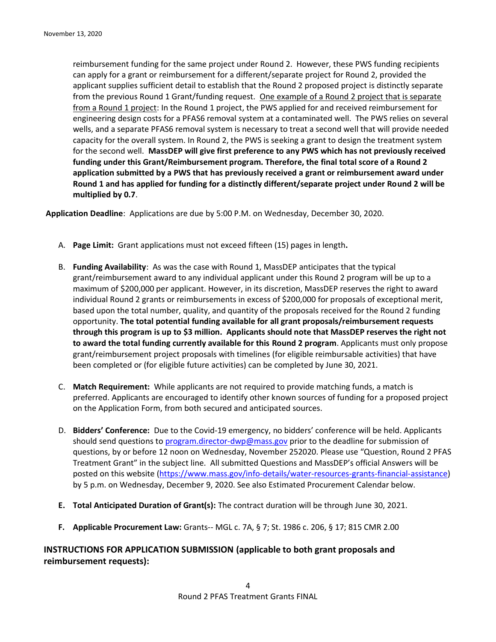reimbursement funding for the same project under Round 2. However, these PWS funding recipients can apply for a grant or reimbursement for a different/separate project for Round 2, provided the applicant supplies sufficient detail to establish that the Round 2 proposed project is distinctly separate from the previous Round 1 Grant/funding request. One example of a Round 2 project that is separate from a Round 1 project: In the Round 1 project, the PWS applied for and received reimbursement for engineering design costs for a PFAS6 removal system at a contaminated well. The PWS relies on several wells, and a separate PFAS6 removal system is necessary to treat a second well that will provide needed capacity for the overall system. In Round 2, the PWS is seeking a grant to design the treatment system for the second well. **MassDEP will give first preference to any PWS which has not previously received funding under this Grant/Reimbursement program. Therefore, the final total score of a Round 2 application submitted by a PWS that has previously received a grant or reimbursement award under Round 1 and has applied for funding for a distinctly different/separate project under Round 2 will be multiplied by 0.7**.

**Application Deadline**: Applications are due by 5:00 P.M. on Wednesday, December 30, 2020.

- A. **Page Limit:** Grant applications must not exceed fifteen (15) pages in length**.**
- B. **Funding Availability**: As was the case with Round 1, MassDEP anticipates that the typical grant/reimbursement award to any individual applicant under this Round 2 program will be up to a maximum of \$200,000 per applicant. However, in its discretion, MassDEP reserves the right to award individual Round 2 grants or reimbursements in excess of \$200,000 for proposals of exceptional merit, based upon the total number, quality, and quantity of the proposals received for the Round 2 funding opportunity. **The total potential funding available for all grant proposals/reimbursement requests through this program is up to \$3 million. Applicants should note that MassDEP reserves the right not to award the total funding currently available for this Round 2 program**. Applicants must only propose grant/reimbursement project proposals with timelines (for eligible reimbursable activities) that have been completed or (for eligible future activities) can be completed by June 30, 2021.
- C. **Match Requirement:** While applicants are not required to provide matching funds, a match is preferred. Applicants are encouraged to identify other known sources of funding for a proposed project on the Application Form, from both secured and anticipated sources.
- D. **Bidders' Conference:** Due to the Covid-19 emergency, no bidders' conference will be held. Applicants should send questions to [program.director-dwp@mass.gov](mailto:program.director-dwp@mass.gov) prior to the deadline for submission of questions, by or before 12 noon on Wednesday, November 252020. Please use "Question, Round 2 PFAS Treatment Grant" in the subject line. All submitted Questions and MassDEP's official Answers will be posted on this website [\(https://www.mass.gov/info-details/water-resources-grants-financial-assistance\)](https://www.mass.gov/info-details/water-resources-grants-financial-assistance) by 5 p.m. on Wednesday, December 9, 2020. See also Estimated Procurement Calendar below.
- **E. Total Anticipated Duration of Grant(s):** The contract duration will be through June 30, 2021.
- **F. Applicable Procurement Law:** Grants-- MGL c. 7A, § 7; St. 1986 c. 206, § 17; 815 CMR 2.00

**INSTRUCTIONS FOR APPLICATION SUBMISSION (applicable to both grant proposals and reimbursement requests):**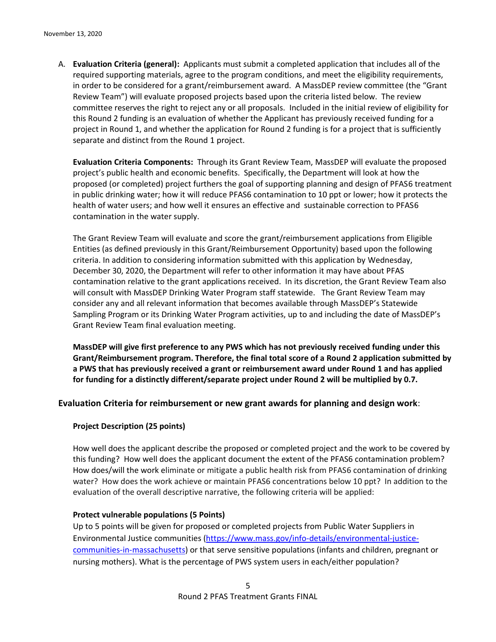A. **Evaluation Criteria (general):** Applicants must submit a completed application that includes all of the required supporting materials, agree to the program conditions, and meet the eligibility requirements, in order to be considered for a grant/reimbursement award. A MassDEP review committee (the "Grant Review Team") will evaluate proposed projects based upon the criteria listed below. The review committee reserves the right to reject any or all proposals. Included in the initial review of eligibility for this Round 2 funding is an evaluation of whether the Applicant has previously received funding for a project in Round 1, and whether the application for Round 2 funding is for a project that is sufficiently separate and distinct from the Round 1 project.

**Evaluation Criteria Components:** Through its Grant Review Team, MassDEP will evaluate the proposed project's public health and economic benefits. Specifically, the Department will look at how the proposed (or completed) project furthers the goal of supporting planning and design of PFAS6 treatment in public drinking water; how it will reduce PFAS6 contamination to 10 ppt or lower; how it protects the health of water users; and how well it ensures an effective and sustainable correction to PFAS6 contamination in the water supply.

The Grant Review Team will evaluate and score the grant/reimbursement applications from Eligible Entities (as defined previously in this Grant/Reimbursement Opportunity) based upon the following criteria. In addition to considering information submitted with this application by Wednesday, December 30, 2020, the Department will refer to other information it may have about PFAS contamination relative to the grant applications received. In its discretion, the Grant Review Team also will consult with MassDEP Drinking Water Program staff statewide. The Grant Review Team may consider any and all relevant information that becomes available through MassDEP's Statewide Sampling Program or its Drinking Water Program activities, up to and including the date of MassDEP's Grant Review Team final evaluation meeting.

**MassDEP will give first preference to any PWS which has not previously received funding under this Grant/Reimbursement program. Therefore, the final total score of a Round 2 application submitted by a PWS that has previously received a grant or reimbursement award under Round 1 and has applied for funding for a distinctly different/separate project under Round 2 will be multiplied by 0.7.**

## **Evaluation Criteria for reimbursement or new grant awards for planning and design work**:

## **Project Description (25 points)**

How well does the applicant describe the proposed or completed project and the work to be covered by this funding? How well does the applicant document the extent of the PFAS6 contamination problem? How does/will the work eliminate or mitigate a public health risk from PFAS6 contamination of drinking water? How does the work achieve or maintain PFAS6 concentrations below 10 ppt? In addition to the evaluation of the overall descriptive narrative, the following criteria will be applied:

## **Protect vulnerable populations (5 Points)**

Up to 5 points will be given for proposed or completed projects from Public Water Suppliers in Environmental Justice communities [\(https://www.mass.gov/info-details/environmental-justice](https://www.mass.gov/info-details/environmental-justice-communities-in-massachusetts)[communities-in-massachusetts\)](https://www.mass.gov/info-details/environmental-justice-communities-in-massachusetts) or that serve sensitive populations (infants and children, pregnant or nursing mothers). What is the percentage of PWS system users in each/either population?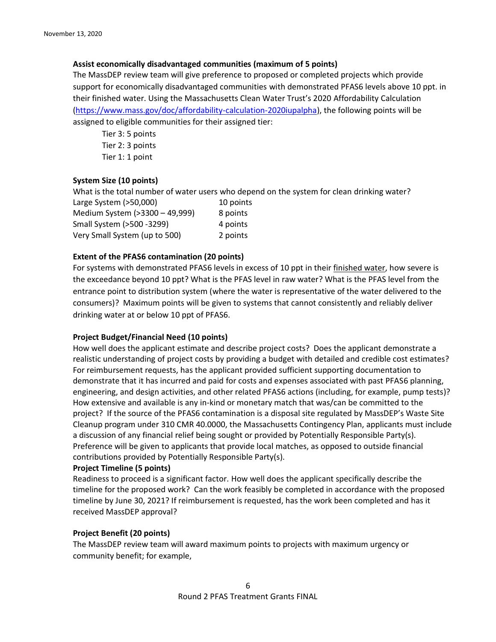#### **Assist economically disadvantaged communities (maximum of 5 points)**

The MassDEP review team will give preference to proposed or completed projects which provide support for economically disadvantaged communities with demonstrated PFAS6 levels above 10 ppt. in their finished water. Using the Massachusetts Clean Water Trust's 2020 Affordability Calculation [\(https://www.mass.gov/doc/affordability-calculation-2020iupalpha\)](https://www.mass.gov/doc/affordability-calculation-2020iupalpha), the following points will be assigned to eligible communities for their assigned tier:

Tier 3: 5 points Tier 2: 3 points Tier 1: 1 point

#### **System Size (10 points)**

What is the total number of water users who depend on the system for clean drinking water?<br>Large System (>50.000) 10 points  $Larses$  System  $(550,000)$ 

| LAIRE JYSICIII (200,000)       | <b>TAN DOILI</b> |
|--------------------------------|------------------|
| Medium System (>3300 - 49,999) | 8 points         |
| Small System (>500 -3299)      | 4 points         |
| Very Small System (up to 500)  | 2 points         |

#### **Extent of the PFAS6 contamination (20 points)**

For systems with demonstrated PFAS6 levels in excess of 10 ppt in their finished water, how severe is the exceedance beyond 10 ppt? What is the PFAS level in raw water? What is the PFAS level from the entrance point to distribution system (where the water is representative of the water delivered to the consumers)? Maximum points will be given to systems that cannot consistently and reliably deliver drinking water at or below 10 ppt of PFAS6.

#### **Project Budget/Financial Need (10 points)**

How well does the applicant estimate and describe project costs? Does the applicant demonstrate a realistic understanding of project costs by providing a budget with detailed and credible cost estimates? For reimbursement requests, has the applicant provided sufficient supporting documentation to demonstrate that it has incurred and paid for costs and expenses associated with past PFAS6 planning, engineering, and design activities, and other related PFAS6 actions (including, for example, pump tests)? How extensive and available is any in-kind or monetary match that was/can be committed to the project? If the source of the PFAS6 contamination is a disposal site regulated by MassDEP's Waste Site Cleanup program under 310 CMR 40.0000, the Massachusetts Contingency Plan, applicants must include a discussion of any financial relief being sought or provided by Potentially Responsible Party(s). Preference will be given to applicants that provide local matches, as opposed to outside financial contributions provided by Potentially Responsible Party(s).

#### **Project Timeline (5 points)**

Readiness to proceed is a significant factor. How well does the applicant specifically describe the timeline for the proposed work? Can the work feasibly be completed in accordance with the proposed timeline by June 30, 2021? If reimbursement is requested, has the work been completed and has it received MassDEP approval?

#### **Project Benefit (20 points)**

The MassDEP review team will award maximum points to projects with maximum urgency or community benefit; for example,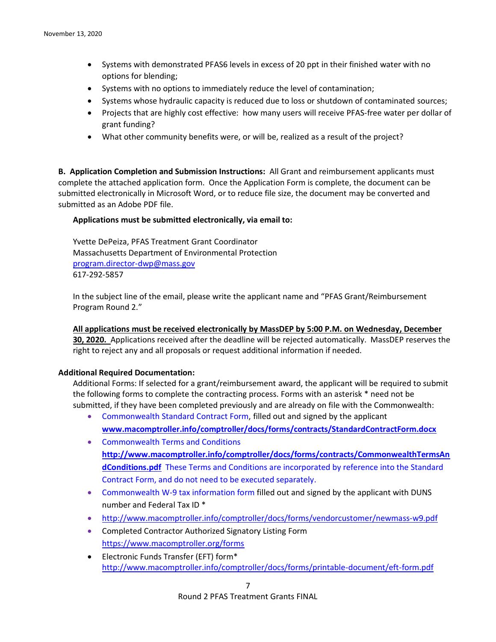- Systems with demonstrated PFAS6 levels in excess of 20 ppt in their finished water with no options for blending;
- Systems with no options to immediately reduce the level of contamination;
- Systems whose hydraulic capacity is reduced due to loss or shutdown of contaminated sources;
- Projects that are highly cost effective: how many users will receive PFAS-free water per dollar of grant funding?
- What other community benefits were, or will be, realized as a result of the project?

**B. Application Completion and Submission Instructions:** All Grant and reimbursement applicants must complete the attached application form. Once the Application Form is complete, the document can be submitted electronically in Microsoft Word, or to reduce file size, the document may be converted and submitted as an Adobe PDF file.

## **Applications must be submitted electronically, via email to:**

Yvette DePeiza, PFAS Treatment Grant Coordinator Massachusetts Department of Environmental Protection [program.director-dwp@mass.gov](mailto:program.director-dwp@mass.gov) 617-292-5857

In the subject line of the email, please write the applicant name and "PFAS Grant/Reimbursement Program Round 2."

**All applications must be received electronically by MassDEP by 5:00 P.M. on Wednesday, December 30, 2020.** Applications received after the deadline will be rejected automatically. MassDEP reserves the right to reject any and all proposals or request additional information if needed.

## **Additional Required Documentation:**

Additional Forms: If selected for a grant/reimbursement award, the applicant will be required to submit the following forms to complete the contracting process. Forms with an asterisk \* need not be submitted, if they have been completed previously and are already on file with the Commonwealth:

- Commonwealth Standard Contract Form, filled out and signed by the applicant **[www.macomptroller.info/comptroller/docs/forms/contracts/StandardContractForm.docx](http://www.macomptroller.info/comptroller/docs/forms/contracts/StandardContractForm.docx)**
- Commonwealth Terms and Conditions **[http://www.macomptroller.info/comptroller/docs/forms/contracts/CommonwealthTermsAn](http://www.macomptroller.info/comptroller/docs/forms/contracts/CommonwealthTermsAndConditions.pdf) [dConditions.pdf](http://www.macomptroller.info/comptroller/docs/forms/contracts/CommonwealthTermsAndConditions.pdf)** These Terms and Conditions are incorporated by reference into the Standard Contract Form, and do not need to be executed separately.
- Commonwealth W-9 tax information form filled out and signed by the applicant with DUNS number and Federal Tax ID \*
- <http://www.macomptroller.info/comptroller/docs/forms/vendorcustomer/newmass-w9.pdf>
- Completed Contractor Authorized Signatory Listing Form <https://www.macomptroller.org/forms>
- Electronic Funds Transfer (EFT) form\* <http://www.macomptroller.info/comptroller/docs/forms/printable-document/eft-form.pdf>

Round 2 PFAS Treatment Grants FINAL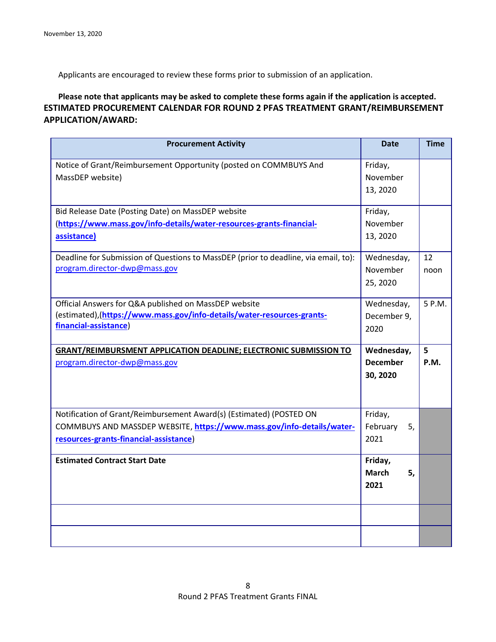Applicants are encouraged to review these forms prior to submission of an application.

**Please note that applicants may be asked to complete these forms again if the application is accepted. ESTIMATED PROCUREMENT CALENDAR FOR ROUND 2 PFAS TREATMENT GRANT/REIMBURSEMENT APPLICATION/AWARD:**

| <b>Procurement Activity</b>                                                                                                                                                             | <b>Date</b>                               | <b>Time</b>      |
|-----------------------------------------------------------------------------------------------------------------------------------------------------------------------------------------|-------------------------------------------|------------------|
| Notice of Grant/Reimbursement Opportunity (posted on COMMBUYS And<br>MassDEP website)                                                                                                   | Friday,<br>November<br>13, 2020           |                  |
| Bid Release Date (Posting Date) on MassDEP website<br>(https://www.mass.gov/info-details/water-resources-grants-financial-<br>assistance)                                               | Friday,<br>November<br>13, 2020           |                  |
| Deadline for Submission of Questions to MassDEP (prior to deadline, via email, to):<br>program.director-dwp@mass.gov                                                                    | Wednesday,<br>November<br>25, 2020        | 12<br>noon       |
| Official Answers for Q&A published on MassDEP website<br>(estimated),(https://www.mass.gov/info-details/water-resources-grants-<br>financial-assistance)                                | Wednesday,<br>December 9,<br>2020         | 5 P.M.           |
| <b>GRANT/REIMBURSMENT APPLICATION DEADLINE; ELECTRONIC SUBMISSION TO</b><br>program.director-dwp@mass.gov                                                                               | Wednesday,<br><b>December</b><br>30, 2020 | 5<br><b>P.M.</b> |
| Notification of Grant/Reimbursement Award(s) (Estimated) (POSTED ON<br>COMMBUYS AND MASSDEP WEBSITE, https://www.mass.gov/info-details/water-<br>resources-grants-financial-assistance) | Friday,<br>February<br>5,<br>2021         |                  |
| <b>Estimated Contract Start Date</b>                                                                                                                                                    | Friday,<br><b>March</b><br>5,<br>2021     |                  |
|                                                                                                                                                                                         |                                           |                  |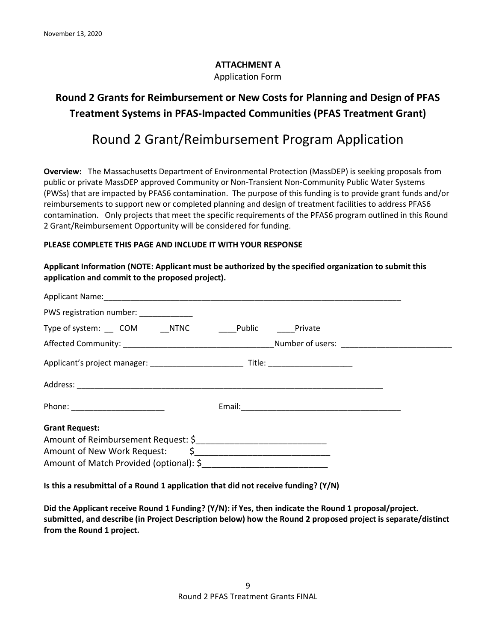## **ATTACHMENT A**

Application Form

## **Round 2 Grants for Reimbursement or New Costs for Planning and Design of PFAS Treatment Systems in PFAS-Impacted Communities (PFAS Treatment Grant)**

# Round 2 Grant/Reimbursement Program Application

**Overview:** The Massachusetts Department of Environmental Protection (MassDEP) is seeking proposals from public or private MassDEP approved Community or Non-Transient Non-Community Public Water Systems (PWSs) that are impacted by PFAS6 contamination. The purpose of this funding is to provide grant funds and/or reimbursements to support new or completed planning and design of treatment facilities to address PFAS6 contamination. Only projects that meet the specific requirements of the PFAS6 program outlined in this Round 2 Grant/Reimbursement Opportunity will be considered for funding.

## **PLEASE COMPLETE THIS PAGE AND INCLUDE IT WITH YOUR RESPONSE**

## **Applicant Information (NOTE: Applicant must be authorized by the specified organization to submit this application and commit to the proposed project).**

| PWS registration number: ____________                            |  |
|------------------------------------------------------------------|--|
| Type of system: COM NTNC Public Private                          |  |
|                                                                  |  |
|                                                                  |  |
|                                                                  |  |
| Phone: _________________________                                 |  |
| <b>Grant Request:</b><br>Amount of New Work Request: $\sin \phi$ |  |

**Is this a resubmittal of a Round 1 application that did not receive funding? (Y/N)**

**Did the Applicant receive Round 1 Funding? (Y/N): if Yes, then indicate the Round 1 proposal/project. submitted, and describe (in Project Description below) how the Round 2 proposed project is separate/distinct from the Round 1 project.**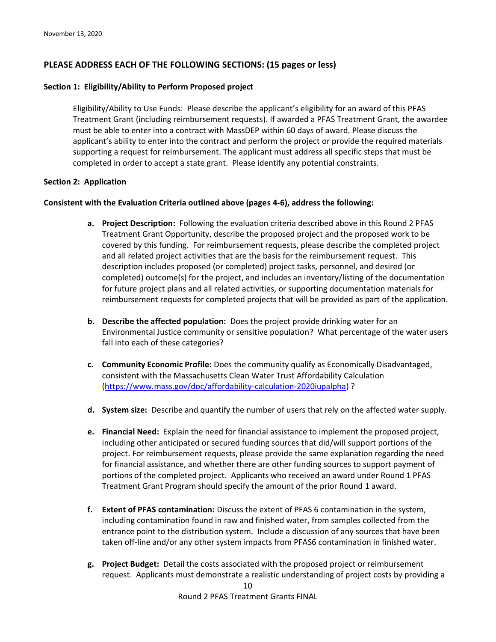## **PLEASE ADDRESS EACH OF THE FOLLOWING SECTIONS: (15 pages or less)**

#### **Section 1: Eligibility/Ability to Perform Proposed project**

Eligibility/Ability to Use Funds: Please describe the applicant's eligibility for an award of this PFAS Treatment Grant (including reimbursement requests). If awarded a PFAS Treatment Grant, the awardee must be able to enter into a contract with MassDEP within 60 days of award. Please discuss the applicant's ability to enter into the contract and perform the project or provide the required materials supporting a request for reimbursement. The applicant must address all specific steps that must be completed in order to accept a state grant. Please identify any potential constraints.

#### **Section 2: Application**

#### **Consistent with the Evaluation Criteria outlined above (pages 4-6), address the following:**

- **a. Project Description:** Following the evaluation criteria described above in this Round 2 PFAS Treatment Grant Opportunity, describe the proposed project and the proposed work to be covered by this funding. For reimbursement requests, please describe the completed project and all related project activities that are the basis for the reimbursement request. This description includes proposed (or completed) project tasks, personnel, and desired (or completed) outcome(s) for the project, and includes an inventory/listing of the documentation for future project plans and all related activities, or supporting documentation materials for reimbursement requests for completed projects that will be provided as part of the application.
- **b. Describe the affected population:** Does the project provide drinking water for an Environmental Justice community or sensitive population?What percentage of the water users fall into each of these categories?
- **c. Community Economic Profile:** Does the community qualify as Economically Disadvantaged, consistent with the Massachusetts Clean Water Trust Affordability Calculation [\(https://www.mass.gov/doc/affordability-calculation-2020iupalpha\)](https://www.mass.gov/doc/affordability-calculation-2020iupalpha) ?
- **d. System size:** Describe and quantify the number of users that rely on the affected water supply.
- **e. Financial Need:** Explain the need for financial assistance to implement the proposed project, including other anticipated or secured funding sources that did/will support portions of the project. For reimbursement requests, please provide the same explanation regarding the need for financial assistance, and whether there are other funding sources to support payment of portions of the completed project. Applicants who received an award under Round 1 PFAS Treatment Grant Program should specify the amount of the prior Round 1 award.
- **f. Extent of PFAS contamination:** Discuss the extent of PFAS 6 contamination in the system, including contamination found in raw and finished water, from samples collected from the entrance point to the distribution system. Include a discussion of any sources that have been taken off-line and/or any other system impacts from PFAS6 contamination in finished water.
- **g. Project Budget:** Detail the costs associated with the proposed project or reimbursement request. Applicants must demonstrate a realistic understanding of project costs by providing a

Round 2 PFAS Treatment Grants FINAL